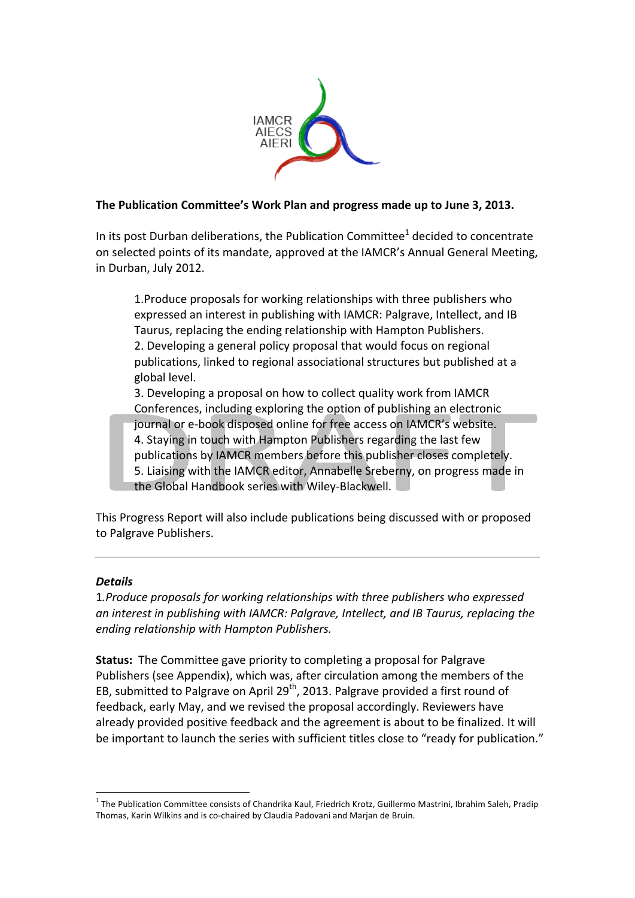

#### The Publication Committee's Work Plan and progress made up to June 3, 2013.

In its post Durban deliberations, the Publication Committee<sup>1</sup> decided to concentrate on selected points of its mandate, approved at the IAMCR's Annual General Meeting, in Durban, July 2012.

1. Produce proposals for working relationships with three publishers who expressed an interest in publishing with IAMCR: Palgrave, Intellect, and IB Taurus, replacing the ending relationship with Hampton Publishers. 2. Developing a general policy proposal that would focus on regional

publications, linked to regional associational structures but published at a global level.

3. Developing a proposal on how to collect quality work from IAMCR Conferences, including exploring the option of publishing an electronic journal or e-book disposed online for free access on IAMCR's website. 4. Staying in touch with Hampton Publishers regarding the last few publications by IAMCR members before this publisher closes completely. 5. Liaising with the IAMCR editor, Annabelle Sreberny, on progress made in the Global Handbook series with Wiley-Blackwell.

This Progress Report will also include publications being discussed with or proposed to Palgrave Publishers.

## *Details*

1.Produce proposals for working relationships with three publishers who expressed *an* interest in publishing with IAMCR: Palgrave, Intellect, and IB Taurus, replacing the *ending relationship with Hampton Publishers.*

**Status:** The Committee gave priority to completing a proposal for Palgrave Publishers (see Appendix), which was, after circulation among the members of the EB, submitted to Palgrave on April 29<sup>th</sup>, 2013. Palgrave provided a first round of feedback, early May, and we revised the proposal accordingly. Reviewers have already provided positive feedback and the agreement is about to be finalized. It will be important to launch the series with sufficient titles close to "ready for publication."

 $1$  The Publication Committee consists of Chandrika Kaul, Friedrich Krotz, Guillermo Mastrini, Ibrahim Saleh, Pradip Thomas, Karin Wilkins and is co-chaired by Claudia Padovani and Marjan de Bruin.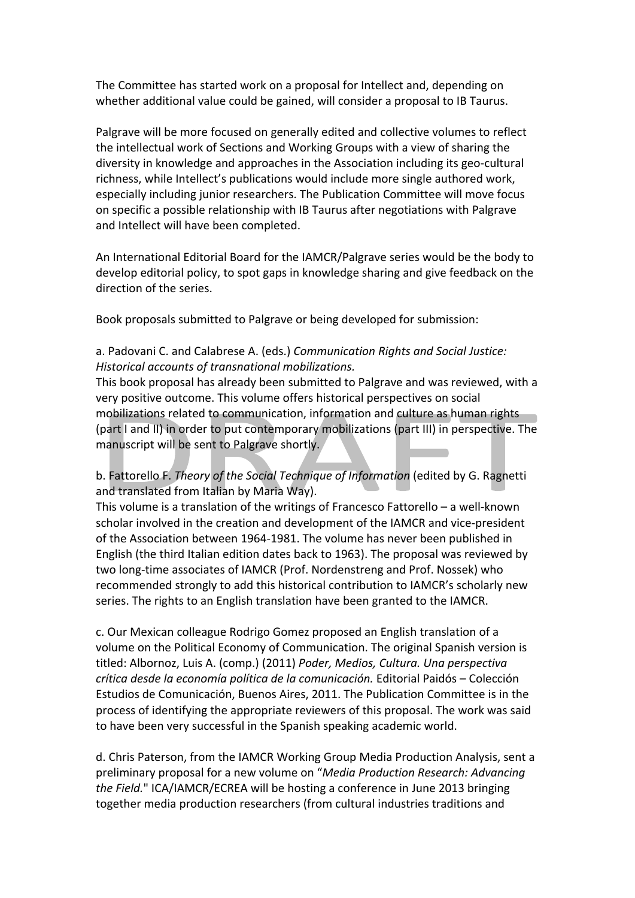The Committee has started work on a proposal for Intellect and, depending on whether additional value could be gained, will consider a proposal to IB Taurus.

Palgrave will be more focused on generally edited and collective volumes to reflect the intellectual work of Sections and Working Groups with a view of sharing the diversity in knowledge and approaches in the Association including its geo-cultural richness, while Intellect's publications would include more single authored work, especially including junior researchers. The Publication Committee will move focus on specific a possible relationship with IB Taurus after negotiations with Palgrave and Intellect will have been completed.

An International Editorial Board for the IAMCR/Palgrave series would be the body to develop editorial policy, to spot gaps in knowledge sharing and give feedback on the direction of the series.

Book proposals submitted to Palgrave or being developed for submission:

## a. Padovani C. and Calabrese A. (eds.) *Communication Rights and Social Justice: Historical accounts of transnational mobilizations.*

This book proposal has already been submitted to Palgrave and was reviewed, with a very positive outcome. This volume offers historical perspectives on social mobilizations related to communication, information and culture as human rights (part I and II) in order to put contemporary mobilizations (part III) in perspective. The manuscript will be sent to Palgrave shortly.

b. Fattorello F. *Theory of the Social Technique of Information* (edited by G. Ragnetti and translated from Italian by Maria Way).

This volume is a translation of the writings of Francesco Fattorello – a well-known scholar involved in the creation and development of the IAMCR and vice-president of the Association between 1964-1981. The volume has never been published in English (the third Italian edition dates back to 1963). The proposal was reviewed by two long-time associates of IAMCR (Prof. Nordenstreng and Prof. Nossek) who recommended strongly to add this historical contribution to IAMCR's scholarly new series. The rights to an English translation have been granted to the IAMCR.

c. Our Mexican colleague Rodrigo Gomez proposed an English translation of a volume on the Political Economy of Communication. The original Spanish version is titled: Albornoz, Luis A. (comp.) (2011) *Poder, Medios, Cultura. Una perspectiva crítica desde la economía política de la comunicación.* Editorial Paidós – Colección Estudios de Comunicación, Buenos Aires, 2011. The Publication Committee is in the process of identifying the appropriate reviewers of this proposal. The work was said to have been very successful in the Spanish speaking academic world.

d. Chris Paterson, from the IAMCR Working Group Media Production Analysis, sent a preliminary proposal for a new volume on "*Media Production Research: Advancing the Field.*" ICA/IAMCR/ECREA will be hosting a conference in June 2013 bringing together media production researchers (from cultural industries traditions and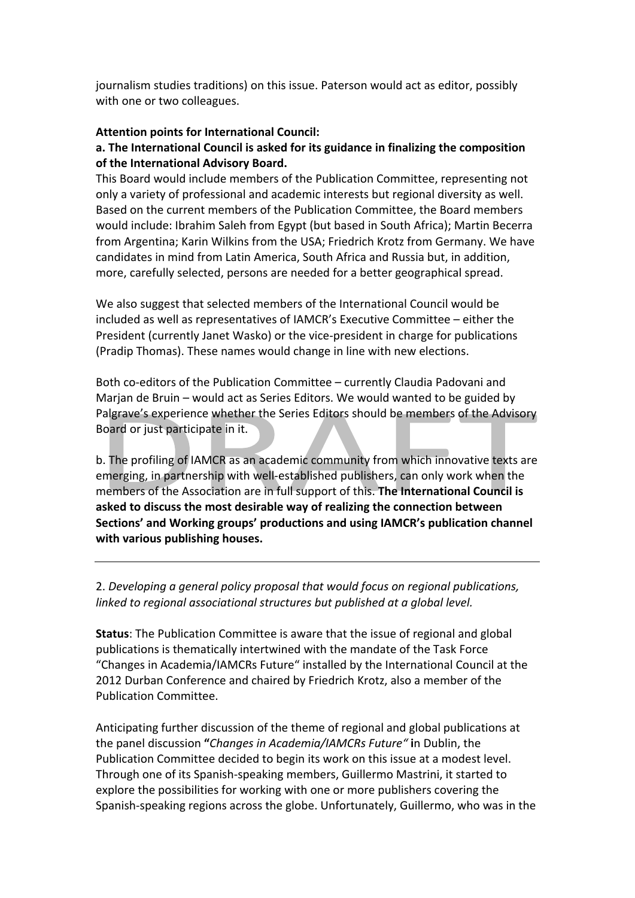journalism studies traditions) on this issue. Paterson would act as editor, possibly with one or two colleagues.

## **Attention points for International Council:**

#### a. The International Council is asked for its guidance in finalizing the composition of the International Advisory Board.

This Board would include members of the Publication Committee, representing not only a variety of professional and academic interests but regional diversity as well. Based on the current members of the Publication Committee, the Board members would include: Ibrahim Saleh from Egypt (but based in South Africa); Martin Becerra from Argentina; Karin Wilkins from the USA; Friedrich Krotz from Germany. We have candidates in mind from Latin America, South Africa and Russia but, in addition, more, carefully selected, persons are needed for a better geographical spread.

We also suggest that selected members of the International Council would be included as well as representatives of IAMCR's Executive Committee – either the President (currently Janet Wasko) or the vice-president in charge for publications (Pradip Thomas). These names would change in line with new elections.

Both co-editors of the Publication Committee – currently Claudia Padovani and Marjan de Bruin – would act as Series Editors. We would wanted to be guided by Palgrave's experience whether the Series Editors should be members of the Advisory Board or just participate in it.

b. The profiling of IAMCR as an academic community from which innovative texts are emerging, in partnership with well-established publishers, can only work when the members of the Association are in full support of this. The International Council is asked to discuss the most desirable way of realizing the connection between **Sections' and Working groups' productions and using IAMCR's publication channel** with various publishing houses.

2. Developing a general policy proposal that would focus on regional publications, *linked to regional associational structures but published at a global level.* 

**Status:** The Publication Committee is aware that the issue of regional and global publications is thematically intertwined with the mandate of the Task Force "Changes in Academia/IAMCRs Future" installed by the International Council at the 2012 Durban Conference and chaired by Friedrich Krotz, also a member of the Publication Committee. 

Anticipating further discussion of the theme of regional and global publications at the panel discussion "*Changes in Academia/IAMCRs Future*" in Dublin, the Publication Committee decided to begin its work on this issue at a modest level. Through one of its Spanish-speaking members, Guillermo Mastrini, it started to explore the possibilities for working with one or more publishers covering the Spanish-speaking regions across the globe. Unfortunately, Guillermo, who was in the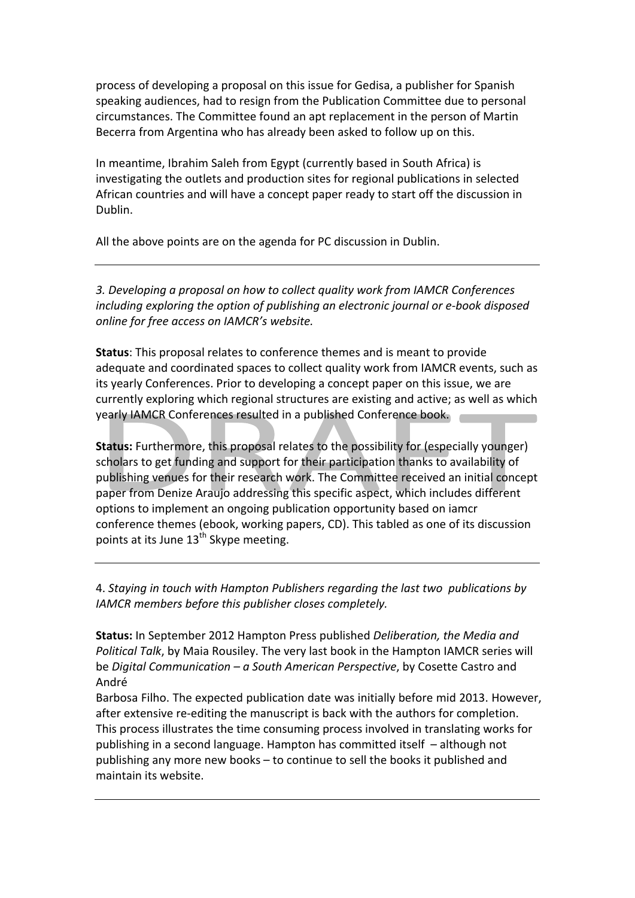process of developing a proposal on this issue for Gedisa, a publisher for Spanish speaking audiences, had to resign from the Publication Committee due to personal circumstances. The Committee found an apt replacement in the person of Martin Becerra from Argentina who has already been asked to follow up on this.

In meantime, Ibrahim Saleh from Egypt (currently based in South Africa) is investigating the outlets and production sites for regional publications in selected African countries and will have a concept paper ready to start off the discussion in Dublin.

All the above points are on the agenda for PC discussion in Dublin.

*3. Developing a proposal on how to collect quality work from IAMCR Conferences including* exploring the option of publishing an electronic journal or e-book disposed *online for free access on IAMCR's website.* 

**Status:** This proposal relates to conference themes and is meant to provide adequate and coordinated spaces to collect quality work from IAMCR events, such as its yearly Conferences. Prior to developing a concept paper on this issue, we are currently exploring which regional structures are existing and active; as well as which yearly IAMCR Conferences resulted in a published Conference book.

**Status:** Furthermore, this proposal relates to the possibility for (especially younger) scholars to get funding and support for their participation thanks to availability of publishing venues for their research work. The Committee received an initial concept paper from Denize Araujo addressing this specific aspect, which includes different options to implement an ongoing publication opportunity based on iamcr conference themes (ebook, working papers, CD). This tabled as one of its discussion points at its June  $13^{th}$  Skype meeting.

4. Staying in touch with Hampton Publishers regarding the last two publications by IAMCR members before this publisher closes completely.

**Status:** In September 2012 Hampton Press published *Deliberation, the Media and Political Talk*, by Maia Rousiley. The very last book in the Hampton IAMCR series will be *Digital Communication* – *a South American Perspective*, by Cosette Castro and André

Barbosa Filho. The expected publication date was initially before mid 2013. However, after extensive re-editing the manuscript is back with the authors for completion. This process illustrates the time consuming process involved in translating works for publishing in a second language. Hampton has committed itself  $-$  although not publishing any more new books – to continue to sell the books it published and maintain its website.